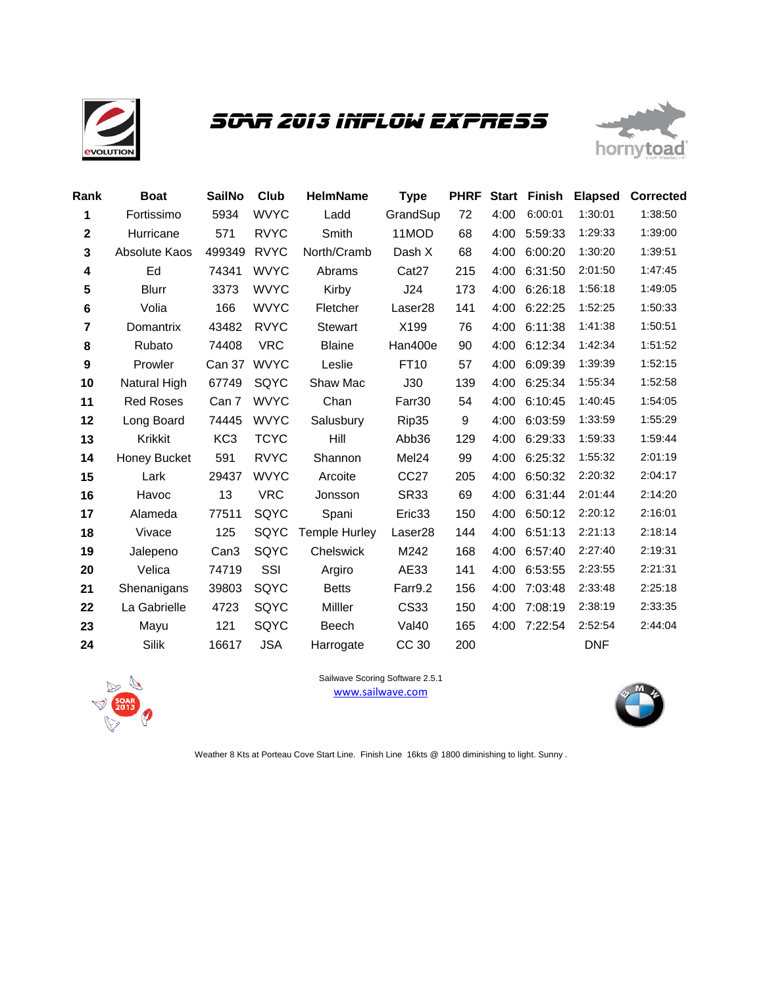

# *SOAR 2013 Inflow Express*



| Rank         | <b>Boat</b>      | <b>SailNo</b>    | Club        | <b>HelmName</b>      | <b>Type</b>         | <b>PHRF</b> | <b>Start</b> | Finish  | <b>Elapsed</b> | <b>Corrected</b> |
|--------------|------------------|------------------|-------------|----------------------|---------------------|-------------|--------------|---------|----------------|------------------|
| 1            | Fortissimo       | 5934             | <b>WVYC</b> | Ladd                 | GrandSup            | 72          | 4:00         | 6:00:01 | 1:30:01        | 1:38:50          |
| $\mathbf{2}$ | Hurricane        | 571              | <b>RVYC</b> | Smith                | 11MOD               | 68          | 4:00         | 5:59:33 | 1:29:33        | 1:39:00          |
| 3            | Absolute Kaos    | 499349           | <b>RVYC</b> | North/Cramb          | Dash X              | 68          | 4:00         | 6:00:20 | 1:30:20        | 1:39:51          |
| 4            | Ed               | 74341            | <b>WVYC</b> | Abrams               | Cat <sub>27</sub>   | 215         | 4:00         | 6:31:50 | 2:01:50        | 1:47:45          |
| 5            | <b>Blurr</b>     | 3373             | <b>WVYC</b> | Kirby                | J24                 | 173         | 4:00         | 6:26:18 | 1:56:18        | 1:49:05          |
| 6            | Volia            | 166              | <b>WVYC</b> | Fletcher             | Laser <sub>28</sub> | 141         | 4:00         | 6:22:25 | 1:52:25        | 1:50:33          |
| 7            | Domantrix        | 43482            | <b>RVYC</b> | Stewart              | X199                | 76          | 4:00         | 6:11:38 | 1:41:38        | 1:50:51          |
| 8            | Rubato           | 74408            | <b>VRC</b>  | <b>Blaine</b>        | Han400e             | 90          | 4:00         | 6:12:34 | 1:42:34        | 1:51:52          |
| 9            | Prowler          | Can 37           | <b>WVYC</b> | Leslie               | FT10                | 57          | 4:00         | 6:09:39 | 1:39:39        | 1:52:15          |
| 10           | Natural High     | 67749            | SQYC        | Shaw Mac             | J30                 | 139         | 4:00         | 6:25:34 | 1:55:34        | 1:52:58          |
| 11           | <b>Red Roses</b> | Can 7            | <b>WVYC</b> | Chan                 | Farr30              | 54          | 4:00         | 6:10:45 | 1:40:45        | 1:54:05          |
| 12           | Long Board       | 74445            | <b>WVYC</b> | Salusbury            | Rip35               | 9           | 4:00         | 6:03:59 | 1:33:59        | 1:55:29          |
| 13           | Krikkit          | KC <sub>3</sub>  | <b>TCYC</b> | Hill                 | Abb36               | 129         | 4:00         | 6:29:33 | 1:59:33        | 1:59:44          |
| 14           | Honey Bucket     | 591              | <b>RVYC</b> | Shannon              | Mel24               | 99          | 4:00         | 6:25:32 | 1:55:32        | 2:01:19          |
| 15           | Lark             | 29437            | <b>WVYC</b> | Arcoite              | CC <sub>27</sub>    | 205         | 4:00         | 6:50:32 | 2:20:32        | 2:04:17          |
| 16           | Havoc            | 13               | <b>VRC</b>  | Jonsson              | <b>SR33</b>         | 69          | 4:00         | 6:31:44 | 2:01:44        | 2:14:20          |
| 17           | Alameda          | 77511            | SQYC        | Spani                | Eric33              | 150         | 4:00         | 6:50:12 | 2:20:12        | 2:16:01          |
| 18           | Vivace           | 125              | SQYC        | <b>Temple Hurley</b> | Laser28             | 144         | 4:00         | 6:51:13 | 2:21:13        | 2:18:14          |
| 19           | Jalepeno         | Can <sub>3</sub> | SQYC        | Chelswick            | M242                | 168         | 4:00         | 6:57:40 | 2:27:40        | 2:19:31          |
| 20           | Velica           | 74719            | SSI         | Argiro               | AE33                | 141         | 4:00         | 6:53:55 | 2:23:55        | 2:21:31          |
| 21           | Shenanigans      | 39803            | SQYC        | <b>Betts</b>         | Farr9.2             | 156         | 4:00         | 7:03:48 | 2:33:48        | 2:25:18          |
| 22           | La Gabrielle     | 4723             | SQYC        | Milller              | CS33                | 150         | 4:00         | 7:08:19 | 2:38:19        | 2:33:35          |
| 23           | Mayu             | 121              | SQYC        | Beech                | Val40               | 165         | 4:00         | 7:22:54 | 2:52:54        | 2:44:04          |
| 24           | Silik            | 16617            | <b>JSA</b>  | Harrogate            | CC 30               | 200         |              |         | <b>DNF</b>     |                  |



www.sailwave.com Sailwave Scoring Software 2.5.1



Weather 8 Kts at Porteau Cove Start Line. Finish Line 16kts @ 1800 diminishing to light. Sunny .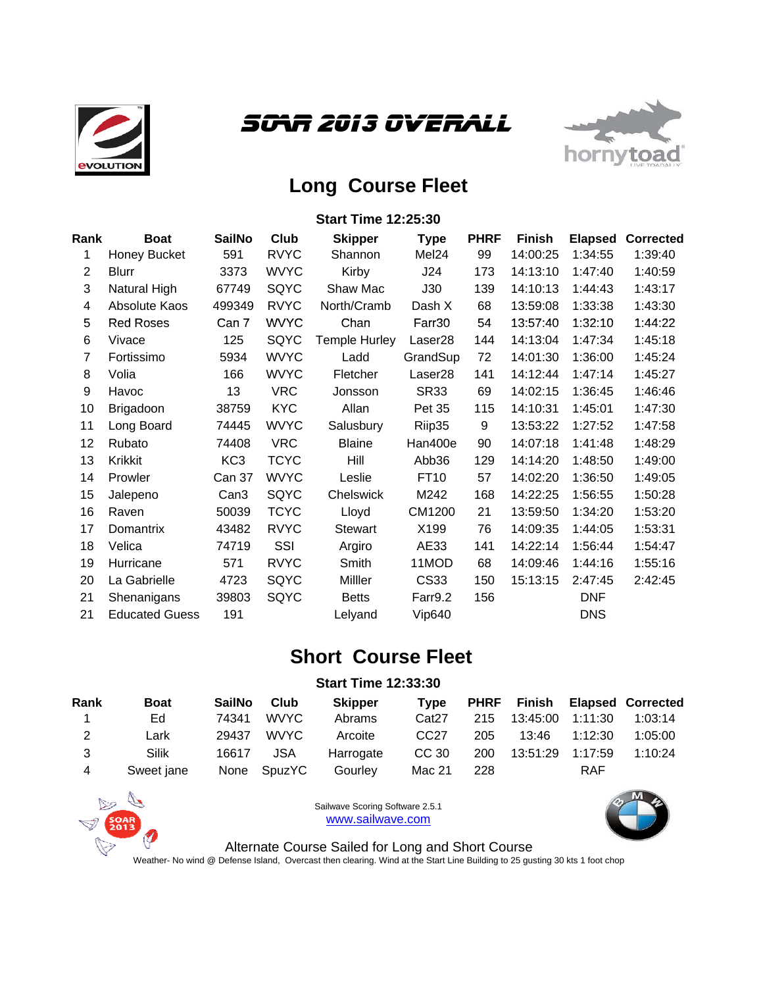





# **Long Course Fleet**

#### **Start Time 12:25:30**

| Rank           | <b>Boat</b>           | <b>SailNo</b>    | Club        | <b>Skipper</b> | <b>Type</b>         | <b>PHRF</b> | <b>Finish</b> | <b>Elapsed</b> | <b>Corrected</b> |
|----------------|-----------------------|------------------|-------------|----------------|---------------------|-------------|---------------|----------------|------------------|
| 1              | Honey Bucket          | 591              | <b>RVYC</b> | Shannon        | Mel <sub>24</sub>   | 99          | 14:00:25      | 1:34:55        | 1:39:40          |
| $\overline{2}$ | Blurr                 | 3373             | <b>WVYC</b> | Kirby          | J24                 | 173         | 14:13:10      | 1:47:40        | 1:40:59          |
| 3              | Natural High          | 67749            | SQYC        | Shaw Mac       | J30                 | 139         | 14:10:13      | 1:44:43        | 1:43:17          |
| 4              | Absolute Kaos         | 499349           | <b>RVYC</b> | North/Cramb    | Dash X              | 68          | 13:59:08      | 1:33:38        | 1:43:30          |
| 5              | <b>Red Roses</b>      | Can 7            | <b>WVYC</b> | Chan           | Farr30              | 54          | 13:57:40      | 1:32:10        | 1:44:22          |
| 6              | Vivace                | 125              | SQYC        | Temple Hurley  | Laser <sub>28</sub> | 144         | 14:13:04      | 1:47:34        | 1:45:18          |
| 7              | Fortissimo            | 5934             | <b>WVYC</b> | Ladd           | GrandSup            | 72          | 14:01:30      | 1:36:00        | 1:45:24          |
| 8              | Volia                 | 166              | <b>WVYC</b> | Fletcher       | Laser <sub>28</sub> | 141         | 14:12:44      | 1:47:14        | 1:45:27          |
| 9              | Havoc                 | 13               | <b>VRC</b>  | Jonsson        | <b>SR33</b>         | 69          | 14:02:15      | 1:36:45        | 1:46:46          |
| 10             | Brigadoon             | 38759            | <b>KYC</b>  | Allan          | Pet 35              | 115         | 14:10:31      | 1:45:01        | 1:47:30          |
| 11             | Long Board            | 74445            | <b>WVYC</b> | Salusbury      | Riip35              | 9           | 13:53:22      | 1:27:52        | 1:47:58          |
| 12             | Rubato                | 74408            | <b>VRC</b>  | <b>Blaine</b>  | Han400e             | 90          | 14:07:18      | 1:41:48        | 1:48:29          |
| 13             | Krikkit               | KC <sub>3</sub>  | <b>TCYC</b> | Hill           | Abb36               | 129         | 14:14:20      | 1:48:50        | 1:49:00          |
| 14             | Prowler               | Can 37           | <b>WVYC</b> | Leslie         | FT10                | 57          | 14:02:20      | 1:36:50        | 1:49:05          |
| 15             | Jalepeno              | Can <sub>3</sub> | SQYC        | Chelswick      | M242                | 168         | 14:22:25      | 1:56:55        | 1:50:28          |
| 16             | Raven                 | 50039            | <b>TCYC</b> | Lloyd          | CM1200              | 21          | 13:59:50      | 1:34:20        | 1:53:20          |
| 17             | Domantrix             | 43482            | <b>RVYC</b> | Stewart        | X199                | 76          | 14:09:35      | 1:44:05        | 1:53:31          |
| 18             | Velica                | 74719            | SSI         | Argiro         | AE33                | 141         | 14:22:14      | 1:56:44        | 1:54:47          |
| 19             | Hurricane             | 571              | <b>RVYC</b> | Smith          | 11MOD               | 68          | 14:09:46      | 1:44:16        | 1:55:16          |
| 20             | La Gabrielle          | 4723             | SQYC        | Milller        | <b>CS33</b>         | 150         | 15:13:15      | 2:47:45        | 2:42:45          |
| 21             | Shenanigans           | 39803            | SQYC        | <b>Betts</b>   | Farr9.2             | 156         |               | <b>DNF</b>     |                  |
| 21             | <b>Educated Guess</b> | 191              |             | Lelyand        | <b>Vip640</b>       |             |               | <b>DNS</b>     |                  |
|                |                       |                  |             |                |                     |             |               |                |                  |

## **Short Course Fleet**

## **Start Time 12:33:30**

| Rank | <b>Boat</b> | <b>SailNo</b> | Club   | <b>Skipper</b> | Tvpe              | <b>PHRF</b> | Finish   |         | <b>Elapsed Corrected</b> |
|------|-------------|---------------|--------|----------------|-------------------|-------------|----------|---------|--------------------------|
|      | Ed          | 74341         | WVYC.  | Abrams         | Cat <sub>27</sub> | 215         | 13:45:00 | 1:11:30 | 1:03:14                  |
| 2    | Lark        | 29437         | WVYC.  | Arcoite        | CC <sub>27</sub>  | 205         | 13:46    | 1:12:30 | 1:05:00                  |
| વ    | Silik       | 16617         | JSA    | Harrogate      | CC 30             | 200         | 13:51:29 | 1:17:59 | 1:10:24                  |
| 4    | Sweet jane  | None          | SpuzYC | Gourley        | Mac 21            | 228         |          | RAF     |                          |



Sailwave Scoring Software 2.5.1 www.sailwave.com



Alternate Course Sailed for Long and Short Course Weather- No wind @ Defense Island, Overcast then clearing. Wind at the Start Line Building to 25 gusting 30 kts 1 foot chop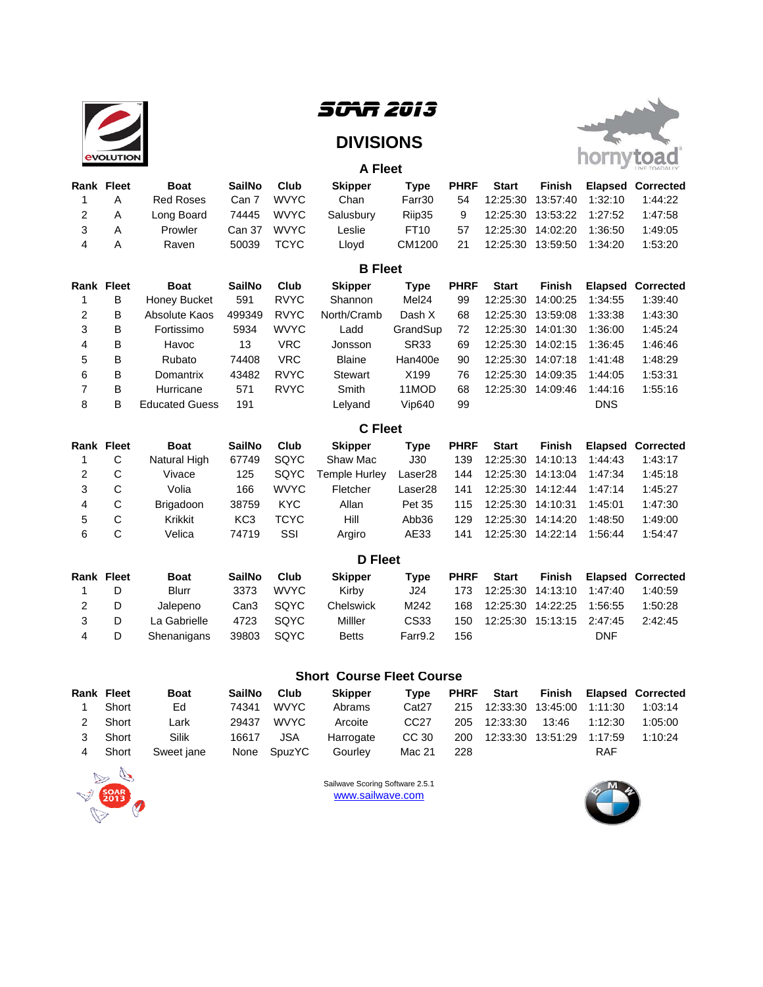

# *SOAR 2013*

## **DIVISIONS**

**A Fleet**



| <b>Rank Fleet</b> |                   | <b>Boat</b>           | <b>SailNo</b>    | Club        | <b>Skipper</b> | <b>Type</b>         | <b>PHRF</b> | <b>Start</b> | <b>Finish</b> | <b>Elapsed</b> | <b>Corrected</b> |
|-------------------|-------------------|-----------------------|------------------|-------------|----------------|---------------------|-------------|--------------|---------------|----------------|------------------|
| 1                 | A                 | <b>Red Roses</b>      | Can 7            | <b>WVYC</b> | Chan           | Farr30              | 54          | 12:25:30     | 13:57:40      | 1:32:10        | 1:44:22          |
| 2                 | Α                 | Long Board            | 74445            | <b>WVYC</b> | Salusbury      | Riip35              | 9           | 12:25:30     | 13:53:22      | 1:27:52        | 1:47:58          |
| 3                 | A                 | Prowler               | Can 37           | <b>WVYC</b> | Leslie         | FT10                | 57          | 12:25:30     | 14:02:20      | 1:36:50        | 1:49:05          |
| 4                 | Α                 | Raven                 | 50039            | <b>TCYC</b> | Lloyd          | CM1200              | 21          | 12:25:30     | 13:59:50      | 1:34:20        | 1:53:20          |
|                   |                   |                       |                  |             | <b>B</b> Fleet |                     |             |              |               |                |                  |
|                   | <b>Rank Fleet</b> | <b>Boat</b>           | <b>SailNo</b>    | Club        | <b>Skipper</b> | <b>Type</b>         | <b>PHRF</b> | <b>Start</b> | <b>Finish</b> | <b>Elapsed</b> | <b>Corrected</b> |
| 1                 | B                 | Honey Bucket          | 591              | <b>RVYC</b> | Shannon        | Mel <sub>24</sub>   | 99          | 12:25:30     | 14:00:25      | 1:34:55        | 1:39:40          |
| 2                 | B                 | Absolute Kaos         | 499349           | <b>RVYC</b> | North/Cramb    | Dash X              | 68          | 12:25:30     | 13:59:08      | 1:33:38        | 1:43:30          |
| 3                 | B                 | Fortissimo            | 5934             | <b>WVYC</b> | Ladd           | GrandSup            | 72          | 12:25:30     | 14:01:30      | 1:36:00        | 1:45:24          |
| 4                 | B                 | Havoc                 | 13               | <b>VRC</b>  | Jonsson        | <b>SR33</b>         | 69          | 12:25:30     | 14:02:15      | 1:36:45        | 1:46:46          |
| 5                 | B                 | Rubato                | 74408            | <b>VRC</b>  | <b>Blaine</b>  | Han400e             | 90          | 12:25:30     | 14:07:18      | 1:41:48        | 1:48:29          |
| 6                 | B                 | Domantrix             | 43482            | <b>RVYC</b> | <b>Stewart</b> | X199                | 76          | 12:25:30     | 14:09:35      | 1:44:05        | 1:53:31          |
| 7                 | B                 | Hurricane             | 571              | <b>RVYC</b> | Smith          | 11MOD               | 68          | 12:25:30     | 14:09:46      | 1:44:16        | 1:55:16          |
| 8                 | B                 | <b>Educated Guess</b> | 191              |             | Lelyand        | <b>Vip640</b>       | 99          |              |               | <b>DNS</b>     |                  |
|                   |                   |                       |                  |             | <b>C</b> Fleet |                     |             |              |               |                |                  |
| <b>Rank Fleet</b> |                   | <b>Boat</b>           | <b>SailNo</b>    | Club        | <b>Skipper</b> | <b>Type</b>         | <b>PHRF</b> | <b>Start</b> | <b>Finish</b> | <b>Elapsed</b> | <b>Corrected</b> |
| 1                 | C                 | Natural High          | 67749            | SQYC        | Shaw Mac       | J30                 | 139         | 12:25:30     | 14:10:13      | 1:44:43        | 1:43:17          |
| 2                 | C                 | Vivace                | 125              | SQYC        | Temple Hurley  | Laser <sub>28</sub> | 144         | 12:25:30     | 14:13:04      | 1:47:34        | 1:45:18          |
| 3                 | C                 | Volia                 | 166              | <b>WVYC</b> | Fletcher       | Laser <sub>28</sub> | 141         | 12:25:30     | 14:12:44      | 1:47:14        | 1:45:27          |
| 4                 | C                 | Brigadoon             | 38759            | <b>KYC</b>  | Allan          | Pet 35              | 115         | 12:25:30     | 14:10:31      | 1:45:01        | 1:47:30          |
| 5                 | C                 | <b>Krikkit</b>        | KC <sub>3</sub>  | <b>TCYC</b> | Hill           | Abb36               | 129         | 12:25:30     | 14:14:20      | 1:48:50        | 1:49:00          |
| 6                 | C                 | Velica                | 74719            | SSI         | Argiro         | AE33                | 141         | 12:25:30     | 14:22:14      | 1:56:44        | 1:54:47          |
|                   |                   |                       |                  |             | <b>D</b> Fleet |                     |             |              |               |                |                  |
| Rank Fleet        |                   | <b>Boat</b>           | <b>SailNo</b>    | Club        | <b>Skipper</b> | <b>Type</b>         | <b>PHRF</b> | <b>Start</b> | <b>Finish</b> | <b>Elapsed</b> | <b>Corrected</b> |
| 1                 | D                 | <b>Blurr</b>          | 3373             | <b>WVYC</b> | Kirby          | J24                 | 173         | 12:25:30     | 14:13:10      | 1:47:40        | 1:40:59          |
| $\overline{2}$    | D                 | Jalepeno              | Can <sub>3</sub> | SQYC        | Chelswick      | M242                | 168         | 12:25:30     | 14:22:25      | 1:56:55        | 1:50:28          |
| 3                 | D                 | La Gabrielle          | 4723             | SQYC        | Milller        | CS33                | 150         | 12:25:30     | 15:13:15      | 2:47:45        | 2:42:45          |
| 4                 | D                 | Shenanigans           | 39803            | SQYC        | <b>Betts</b>   | Farr9.2             | 156         |              |               | <b>DNF</b>     |                  |

## **Short Course Fleet Course**

| <b>Rank Fleet</b> |         | <b>Boat</b> | <b>SailNo</b> | Club        | <b>Skipper</b> | Tvpe              |       |                               |            | <b>PHRF</b> Start Finish Elapsed Corrected |
|-------------------|---------|-------------|---------------|-------------|----------------|-------------------|-------|-------------------------------|------------|--------------------------------------------|
|                   | Short   | Ed          | 74341         | <b>WVYC</b> | Abrams         | Cat <sub>27</sub> |       |                               |            | 215 12:33:30 13:45:00 1:11:30 1:03:14      |
|                   | 2 Short | Lark        |               | 29437 WVYC  | Arcoite        | CC <sub>27</sub>  |       | 205 12:33:30 13:46 1:12:30    |            | 1:05:00                                    |
| $\mathcal{S}$     | Short   | Silik       | 16617         | JSA         | Harrogate      | CC 30             |       | 200 12:33:30 13:51:29 1:17:59 |            | 1:10:24                                    |
|                   | Short   | Sweet jane  | None          | SpuzYC      | Gourley        | Mac 21            | - 228 |                               | <b>RAF</b> |                                            |



Sailwave Scoring Software 2.5.1 www.sailwave.com